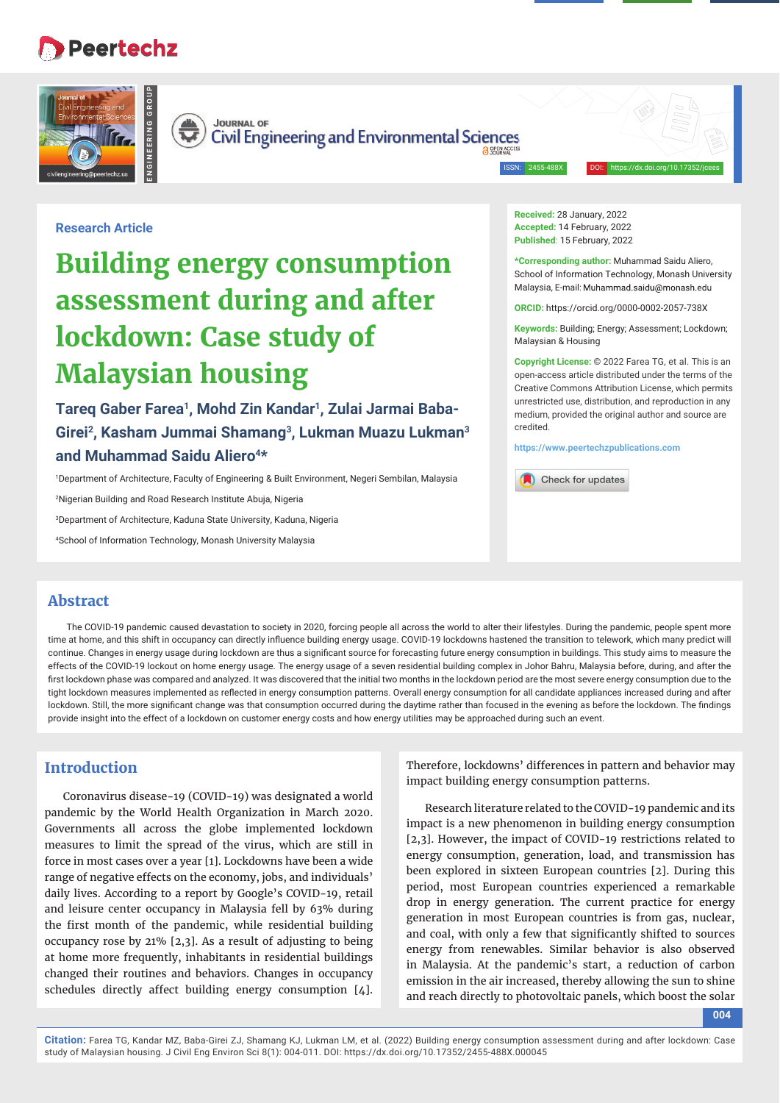## **Peertechz**





**ENGINEERING GROUP**

**Civil Engineering and Environmental Sciences** 

ISSN: 2455-488X DOI: https://dx.doi.org/10.17352/jcees

## **Research Article**

# **Building energy consumption assessment during and after lockdown: Case study of Malaysian housing**

Tareg Gaber Farea<sup>1</sup>, Mohd Zin Kandar<sup>1</sup>, Zulai Jarmai Baba-**Girei2, Kasham Jummai Shamang3, Lukman Muazu Lukman3**  and Muhammad Saidu Aliero<sup>4\*</sup>

1 Department of Architecture, Faculty of Engineering & Built Environment, Negeri Sembilan, Malaysia

2 Nigerian Building and Road Research Institute Abuja, Nigeria

3 Department of Architecture, Kaduna State University, Kaduna, Nigeria

4 School of Information Technology, Monash University Malaysia

**Received:** 28 January, 2022 **Accepted:** 14 February, 2022 **Published**: 15 February, 2022

**\*Corresponding author:** Muhammad Saidu Aliero, School of Information Technology, Monash University Malaysia, E-mail: Muhammad.saidu@monash.edu

**ORCID:** https://orcid.org/0000-0002-2057-738X

**Keywords:** Building; Energy; Assessment; Lockdown; Malaysian & Housing

**Copyright License:** © 2022 Farea TG, et al. This is an open-access article distributed under the terms of the Creative Commons Attribution License, which permits unrestricted use, distribution, and reproduction in any medium, provided the original author and source are credited.

**https://www.peertechzpublications.com**

Check for updates

## **Abstract**

The COVID-19 pandemic caused devastation to society in 2020, forcing people all across the world to alter their lifestyles. During the pandemic, people spent more time at home, and this shift in occupancy can directly influence building energy usage. COVID-19 lockdowns hastened the transition to telework, which many predict will continue. Changes in energy usage during lockdown are thus a significant source for forecasting future energy consumption in buildings. This study aims to measure the effects of the COVID-19 lockout on home energy usage. The energy usage of a seven residential building complex in Johor Bahru, Malaysia before, during, and after the first lockdown phase was compared and analyzed. It was discovered that the initial two months in the lockdown period are the most severe energy consumption due to the tight lockdown measures implemented as reflected in energy consumption patterns. Overall energy consumption for all candidate appliances increased during and after lockdown. Still, the more significant change was that consumption occurred during the daytime rather than focused in the evening as before the lockdown. The findings provide insight into the effect of a lockdown on customer energy costs and how energy utilities may be approached during such an event.

## **Introduction**

Coronavirus disease-19 (COVID-19) was designated a world pandemic by the World Health Organization in March 2020. Governments all across the globe implemented lockdown measures to limit the spread of the virus, which are still in force in most cases over a year [1]. Lockdowns have been a wide range of negative effects on the economy, jobs, and individuals' daily lives. According to a report by Google's COVID-19, retail and leisure center occupancy in Malaysia fell by 63% during the first month of the pandemic, while residential building occupancy rose by 21% [2,3]. As a result of adjusting to being at home more frequently, inhabitants in residential buildings changed their routines and behaviors. Changes in occupancy schedules directly affect building energy consumption [4].

Therefore, lockdowns' differences in pattern and behavior may impact building energy consumption patterns.

Research literature related to the COVID-19 pandemic and its impact is a new phenomenon in building energy consumption [2,3]. However, the impact of COVID-19 restrictions related to energy consumption, generation, load, and transmission has been explored in sixteen European countries [2]. During this period, most European countries experienced a remarkable drop in energy generation. The current practice for energy generation in most European countries is from gas, nuclear, and coal, with only a few that significantly shifted to sources energy from renewables. Similar behavior is also observed in Malaysia. At the pandemic's start, a reduction of carbon emission in the air increased, thereby allowing the sun to shine and reach directly to photovoltaic panels, which boost the solar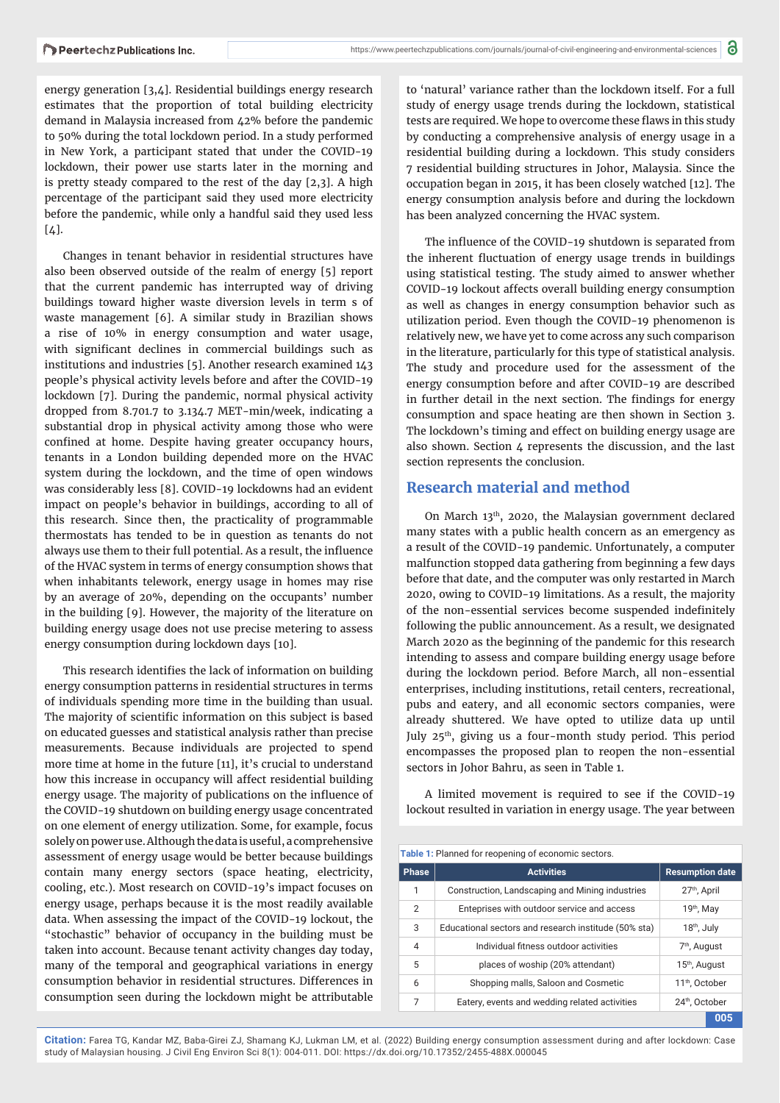energy generation [3,4]. Residential buildings energy research estimates that the proportion of total building electricity demand in Malaysia increased from 42% before the pandemic to 50% during the total lockdown period. In a study performed in New York, a participant stated that under the COVID-19 lockdown, their power use starts later in the morning and is pretty steady compared to the rest of the day [2,3]. A high percentage of the participant said they used more electricity before the pandemic, while only a handful said they used less  $\lceil 4 \rceil$ .

Changes in tenant behavior in residential structures have also been observed outside of the realm of energy [5] report that the current pandemic has interrupted way of driving buildings toward higher waste diversion levels in term s of waste management [6]. A similar study in Brazilian shows a rise of 10% in energy consumption and water usage, with significant declines in commercial buildings such as institutions and industries [5]. Another research examined 143 people's physical activity levels before and after the COVID-19 lockdown [7]. During the pandemic, normal physical activity dropped from 8.701.7 to 3.134.7 MET-min/week, indicating a substantial drop in physical activity among those who were confined at home. Despite having greater occupancy hours, tenants in a London building depended more on the HVAC system during the lockdown, and the time of open windows was considerably less [8]. COVID-19 lockdowns had an evident impact on people's behavior in buildings, according to all of this research. Since then, the practicality of programmable thermostats has tended to be in question as tenants do not always use them to their full potential. As a result, the influence of the HVAC system in terms of energy consumption shows that when inhabitants telework, energy usage in homes may rise by an average of 20%, depending on the occupants' number in the building [9]. However, the majority of the literature on building energy usage does not use precise metering to assess energy consumption during lockdown days [10].

This research identifies the lack of information on building energy consumption patterns in residential structures in terms of individuals spending more time in the building than usual. The majority of scientific information on this subject is based on educated guesses and statistical analysis rather than precise measurements. Because individuals are projected to spend more time at home in the future [11], it's crucial to understand how this increase in occupancy will affect residential building energy usage. The majority of publications on the influence of the COVID-19 shutdown on building energy usage concentrated on one element of energy utilization. Some, for example, focus solely on power use. Although the data is useful, a comprehensive assessment of energy usage would be better because buildings contain many energy sectors (space heating, electricity, cooling, etc.). Most research on COVID-19's impact focuses on energy usage, perhaps because it is the most readily available data. When assessing the impact of the COVID-19 lockout, the "stochastic" behavior of occupancy in the building must be taken into account. Because tenant activity changes day today, many of the temporal and geographical variations in energy consumption behavior in residential structures. Differences in consumption seen during the lockdown might be attributable

to 'natural' variance rather than the lockdown itself. For a full study of energy usage trends during the lockdown, statistical tests are required. We hope to overcome these flaws in this study by conducting a comprehensive analysis of energy usage in a residential building during a lockdown. This study considers 7 residential building structures in Johor, Malaysia. Since the occupation began in 2015, it has been closely watched [12]. The energy consumption analysis before and during the lockdown has been analyzed concerning the HVAC system.

The influence of the COVID-19 shutdown is separated from the inherent fluctuation of energy usage trends in buildings using statistical testing. The study aimed to answer whether COVID-19 lockout affects overall building energy consumption as well as changes in energy consumption behavior such as utilization period. Even though the COVID-19 phenomenon is relatively new, we have yet to come across any such comparison in the literature, particularly for this type of statistical analysis. The study and procedure used for the assessment of the energy consumption before and after COVID-19 are described in further detail in the next section. The findings for energy consumption and space heating are then shown in Section 3. The lockdown's timing and effect on building energy usage are also shown. Section 4 represents the discussion, and the last section represents the conclusion.

## **Research material and method**

On March 13th, 2020, the Malaysian government declared many states with a public health concern as an emergency as a result of the COVID-19 pandemic. Unfortunately, a computer malfunction stopped data gathering from beginning a few days before that date, and the computer was only restarted in March 2020, owing to COVID-19 limitations. As a result, the majority of the non-essential services become suspended indefinitely following the public announcement. As a result, we designated March 2020 as the beginning of the pandemic for this research intending to assess and compare building energy usage before during the lockdown period. Before March, all non-essential enterprises, including institutions, retail centers, recreational, pubs and eatery, and all economic sectors companies, were already shuttered. We have opted to utilize data up until July 25<sup>th</sup>, giving us a four-month study period. This period encompasses the proposed plan to reopen the non-essential sectors in Johor Bahru, as seen in Table 1.

A limited movement is required to see if the COVID-19 lockout resulted in variation in energy usage. The year between

| <b>Table 1:</b> Planned for reopening of economic sectors. |                                                      |                            |
|------------------------------------------------------------|------------------------------------------------------|----------------------------|
| <b>Phase</b>                                               | <b>Activities</b>                                    | <b>Resumption date</b>     |
| 1                                                          | Construction, Landscaping and Mining industries      | 27 <sup>th</sup> , April   |
| $\overline{2}$                                             | Enteprises with outdoor service and access           | 19 <sup>th</sup> , May     |
| 3                                                          | Educational sectors and research institude (50% sta) | 18 <sup>th</sup> , July    |
| $\overline{4}$                                             | Individual fitness outdoor activities                | 7 <sup>th</sup> , August   |
| 5                                                          | places of woship (20% attendant)                     | 15 <sup>th</sup> , August  |
| 6                                                          | Shopping malls, Saloon and Cosmetic                  | 11 <sup>th</sup> . October |
| 7                                                          | Eatery, events and wedding related activities        | 24th, October              |
|                                                            |                                                      | 005                        |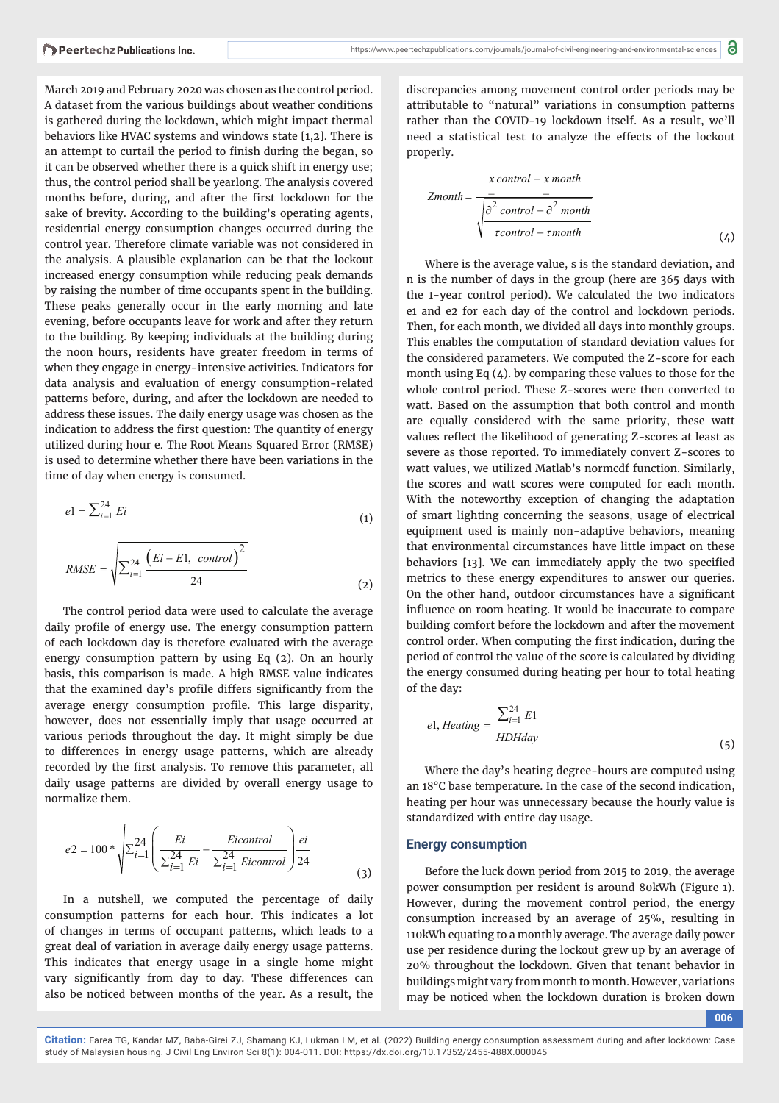March 2019 and February 2020 was chosen as the control period. A dataset from the various buildings about weather conditions is gathered during the lockdown, which might impact thermal behaviors like HVAC systems and windows state [1,2]. There is an attempt to curtail the period to finish during the began, so it can be observed whether there is a quick shift in energy use; thus, the control period shall be yearlong. The analysis covered months before, during, and after the first lockdown for the sake of brevity. According to the building's operating agents, residential energy consumption changes occurred during the control year. Therefore climate variable was not considered in the analysis. A plausible explanation can be that the lockout increased energy consumption while reducing peak demands by raising the number of time occupants spent in the building. These peaks generally occur in the early morning and late evening, before occupants leave for work and after they return to the building. By keeping individuals at the building during the noon hours, residents have greater freedom in terms of when they engage in energy-intensive activities. Indicators for data analysis and evaluation of energy consumption-related patterns before, during, and after the lockdown are needed to address these issues. The daily energy usage was chosen as the indication to address the first question: The quantity of energy utilized during hour e. The Root Means Squared Error (RMSE) is used to determine whether there have been variations in the time of day when energy is consumed.

$$
e1 = \sum_{i=1}^{24} Ei
$$
\n
$$
\sum_{i=1}^{24} \left( Ei - E1, \text{ control} \right)^2
$$
\n(1)

$$
RMSE = \sqrt{\sum_{i=1}^{24} \frac{(Ei - E1, \ control)}{24}}
$$
 (2)

The control period data were used to calculate the average daily profile of energy use. The energy consumption pattern of each lockdown day is therefore evaluated with the average energy consumption pattern by using Eq (2). On an hourly basis, this comparison is made. A high RMSE value indicates that the examined day's profile differs significantly from the average energy consumption profile. This large disparity, however, does not essentially imply that usage occurred at various periods throughout the day. It might simply be due to differences in energy usage patterns, which are already recorded by the first analysis. To remove this parameter, all daily usage patterns are divided by overall energy usage to normalize them.

$$
e2 = 100 * \sqrt{\sum_{i=1}^{24} \left( \frac{Ei}{\sum_{i=1}^{24} Ei} - \frac{Eicontrol}{\sum_{i=1}^{24} Eicontrol} \right) \frac{ei}{24}}
$$
(3)

In a nutshell, we computed the percentage of daily consumption patterns for each hour. This indicates a lot of changes in terms of occupant patterns, which leads to a great deal of variation in average daily energy usage patterns. This indicates that energy usage in a single home might vary significantly from day to day. These differences can also be noticed between months of the year. As a result, the

discrepancies among movement control order periods may be attributable to "natural" variations in consumption patterns rather than the COVID-19 lockdown itself. As a result, we'll need a statistical test to analyze the effects of the lockout properly.

$$
Zmonth = \frac{-}{\sqrt{\frac{\partial^2 \text{ control} - x month}{\partial^2 \text{ control} - \partial^2 \text{ month}}}}
$$
\n
$$
(4)
$$

Where is the average value, s is the standard deviation, and n is the number of days in the group (here are 365 days with the 1-year control period). We calculated the two indicators e1 and e2 for each day of the control and lockdown periods. Then, for each month, we divided all days into monthly groups. This enables the computation of standard deviation values for the considered parameters. We computed the Z-score for each month using Eq  $(4)$ . by comparing these values to those for the whole control period. These Z-scores were then converted to watt. Based on the assumption that both control and month are equally considered with the same priority, these watt values reflect the likelihood of generating Z-scores at least as severe as those reported. To immediately convert Z-scores to watt values, we utilized Matlab's normcdf function. Similarly, the scores and watt scores were computed for each month. With the noteworthy exception of changing the adaptation of smart lighting concerning the seasons, usage of electrical equipment used is mainly non-adaptive behaviors, meaning that environmental circumstances have little impact on these behaviors [13]. We can immediately apply the two specified metrics to these energy expenditures to answer our queries. On the other hand, outdoor circumstances have a significant influence on room heating. It would be inaccurate to compare building comfort before the lockdown and after the movement control order. When computing the first indication, during the period of control the value of the score is calculated by dividing the energy consumed during heating per hour to total heating of the day:

$$
el, Heating = \frac{\sum_{i=1}^{24} E1}{HDHday}
$$
\n(5)

Where the day's heating degree-hours are computed using an 18°C base temperature. In the case of the second indication, heating per hour was unnecessary because the hourly value is standardized with entire day usage.

#### **Energy consumption**

Before the luck down period from 2015 to 2019, the average power consumption per resident is around 80kWh (Figure 1). However, during the movement control period, the energy consumption increased by an average of 25%, resulting in 110kWh equating to a monthly average. The average daily power use per residence during the lockout grew up by an average of 20% throughout the lockdown. Given that tenant behavior in buildings might vary from month to month. However, variations may be noticed when the lockdown duration is broken down

**006**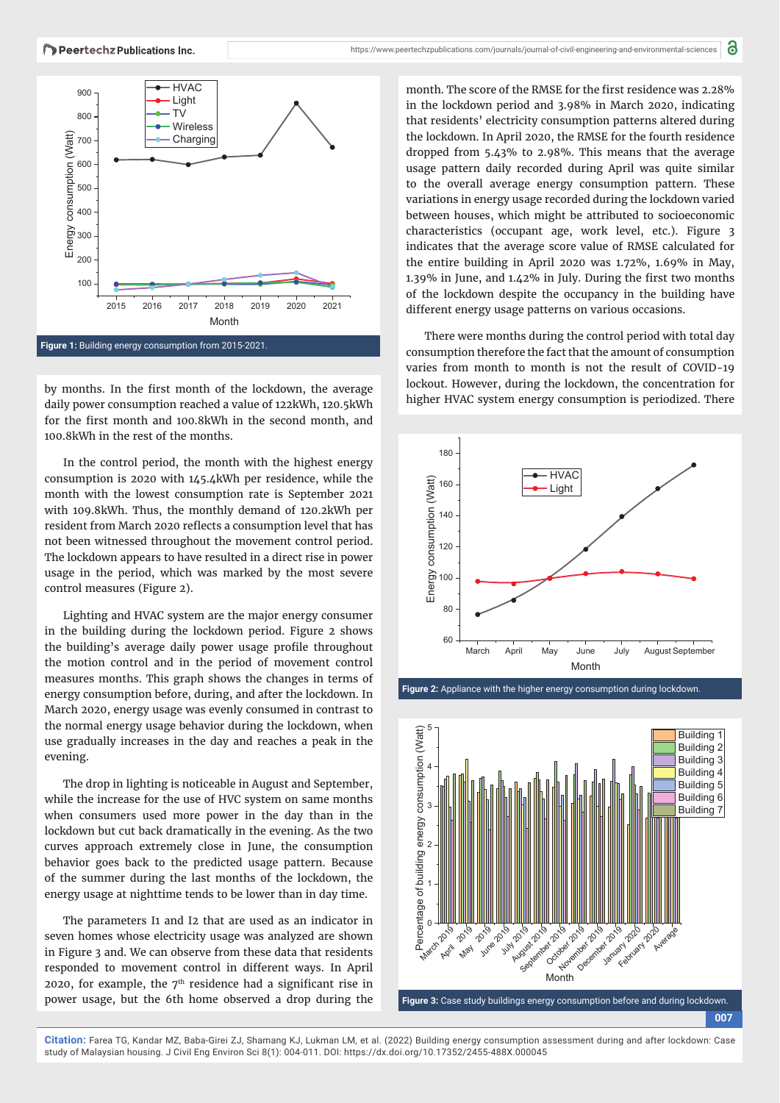

by months. In the first month of the lockdown, the average daily power consumption reached a value of 122kWh, 120.5kWh for the first month and 100.8kWh in the second month, and 100.8kWh in the rest of the months.

In the control period, the month with the highest energy consumption is 2020 with 145.4kWh per residence, while the month with the lowest consumption rate is September 2021 with 109.8kWh. Thus, the monthly demand of 120.2kWh per resident from March 2020 reflects a consumption level that has not been witnessed throughout the movement control period. The lockdown appears to have resulted in a direct rise in power usage in the period, which was marked by the most severe control measures (Figure 2).

Lighting and HVAC system are the major energy consumer in the building during the lockdown period. Figure 2 shows the building's average daily power usage profile throughout the motion control and in the period of movement control measures months. This graph shows the changes in terms of energy consumption before, during, and after the lockdown. In March 2020, energy usage was evenly consumed in contrast to the normal energy usage behavior during the lockdown, when use gradually increases in the day and reaches a peak in the evening.

The drop in lighting is noticeable in August and September, while the increase for the use of HVC system on same months when consumers used more power in the day than in the lockdown but cut back dramatically in the evening. As the two curves approach extremely close in June, the consumption behavior goes back to the predicted usage pattern. Because of the summer during the last months of the lockdown, the energy usage at nighttime tends to be lower than in day time.

The parameters I1 and I2 that are used as an indicator in seven homes whose electricity usage was analyzed are shown in Figure 3 and. We can observe from these data that residents responded to movement control in different ways. In April 2020, for example, the  $7<sup>th</sup>$  residence had a significant rise in power usage, but the 6th home observed a drop during the

month. The score of the RMSE for the first residence was 2.28% in the lockdown period and 3.98% in March 2020, indicating that residents' electricity consumption patterns altered during the lockdown. In April 2020, the RMSE for the fourth residence dropped from 5.43% to 2.98%. This means that the average usage pattern daily recorded during April was quite similar to the overall average energy consumption pattern. These variations in energy usage recorded during the lockdown varied between houses, which might be attributed to socioeconomic characteristics (occupant age, work level, etc.). Figure 3 indicates that the average score value of RMSE calculated for the entire building in April 2020 was 1.72%, 1.69% in May, 1.39% in June, and  $1.42\%$  in July. During the first two months of the lockdown despite the occupancy in the building have different energy usage patterns on various occasions.

There were months during the control period with total day consumption therefore the fact that the amount of consumption varies from month to month is not the result of COVID-19 lockout. However, during the lockdown, the concentration for higher HVAC system energy consumption is periodized. There





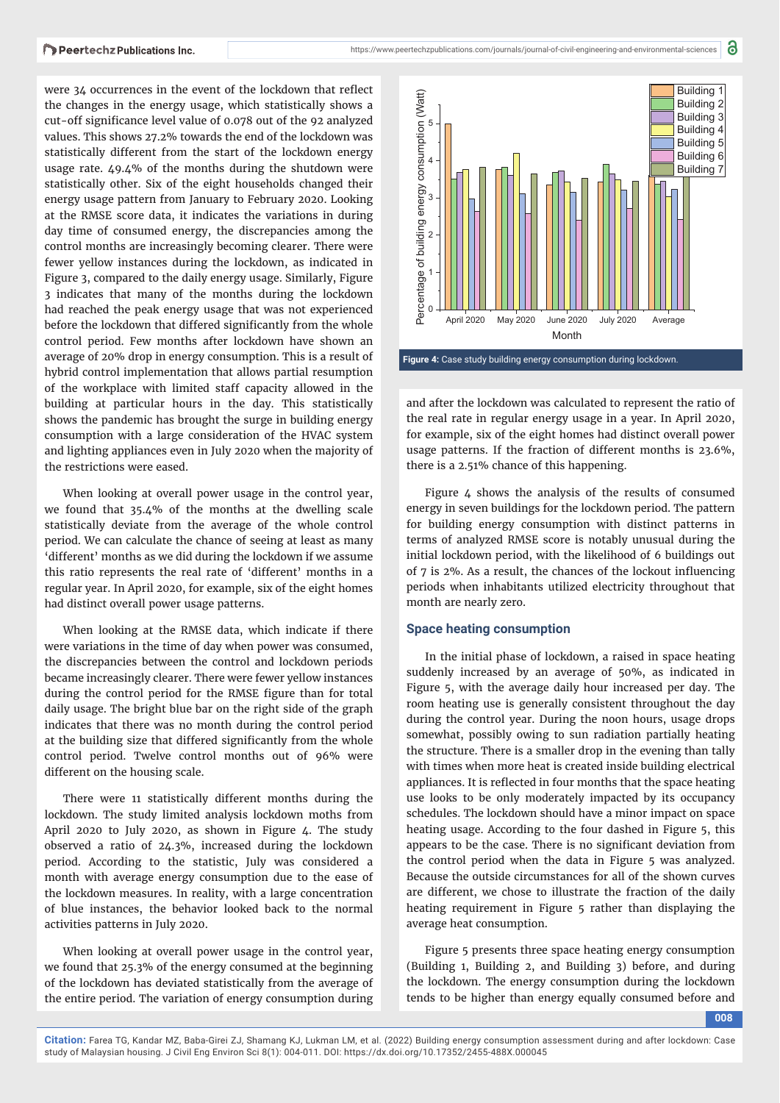were 34 occurrences in the event of the lockdown that reflect the changes in the energy usage, which statistically shows a cut-off significance level value of 0.078 out of the 92 analyzed values. This shows 27.2% towards the end of the lockdown was statistically different from the start of the lockdown energy usage rate. 49.4% of the months during the shutdown were statistically other. Six of the eight households changed their energy usage pattern from January to February 2020. Looking at the RMSE score data, it indicates the variations in during day time of consumed energy, the discrepancies among the control months are increasingly becoming clearer. There were fewer yellow instances during the lockdown, as indicated in Figure 3, compared to the daily energy usage. Similarly, Figure 3 indicates that many of the months during the lockdown had reached the peak energy usage that was not experienced before the lockdown that differed significantly from the whole control period. Few months after lockdown have shown an average of 20% drop in energy consumption. This is a result of hybrid control implementation that allows partial resumption of the workplace with limited staff capacity allowed in the building at particular hours in the day. This statistically shows the pandemic has brought the surge in building energy consumption with a large consideration of the HVAC system and lighting appliances even in July 2020 when the majority of the restrictions were eased.

When looking at overall power usage in the control year, we found that 35.4% of the months at the dwelling scale statistically deviate from the average of the whole control period. We can calculate the chance of seeing at least as many 'different' months as we did during the lockdown if we assume this ratio represents the real rate of 'different' months in a regular year. In April 2020, for example, six of the eight homes had distinct overall power usage patterns.

When looking at the RMSE data, which indicate if there were variations in the time of day when power was consumed, the discrepancies between the control and lockdown periods became increasingly clearer. There were fewer yellow instances during the control period for the RMSE figure than for total daily usage. The bright blue bar on the right side of the graph indicates that there was no month during the control period at the building size that differed significantly from the whole control period. Twelve control months out of 96% were different on the housing scale.

There were 11 statistically different months during the lockdown. The study limited analysis lockdown moths from April 2020 to July 2020, as shown in Figure 4. The study observed a ratio of 24.3%, increased during the lockdown period. According to the statistic, July was considered a month with average energy consumption due to the ease of the lockdown measures. In reality, with a large concentration of blue instances, the behavior looked back to the normal activities patterns in July 2020.

When looking at overall power usage in the control year, we found that 25.3% of the energy consumed at the beginning of the lockdown has deviated statistically from the average of the entire period. The variation of energy consumption during



and after the lockdown was calculated to represent the ratio of the real rate in regular energy usage in a year. In April 2020, for example, six of the eight homes had distinct overall power usage patterns. If the fraction of different months is 23.6%, there is a 2.51% chance of this happening.

Figure 4 shows the analysis of the results of consumed energy in seven buildings for the lockdown period. The pattern for building energy consumption with distinct patterns in terms of analyzed RMSE score is notably unusual during the initial lockdown period, with the likelihood of 6 buildings out of 7 is 2%. As a result, the chances of the lockout influencing periods when inhabitants utilized electricity throughout that month are nearly zero.

#### **Space heating consumption**

In the initial phase of lockdown, a raised in space heating suddenly increased by an average of 50%, as indicated in Figure 5, with the average daily hour increased per day. The room heating use is generally consistent throughout the day during the control year. During the noon hours, usage drops somewhat, possibly owing to sun radiation partially heating the structure. There is a smaller drop in the evening than tally with times when more heat is created inside building electrical appliances. It is reflected in four months that the space heating use looks to be only moderately impacted by its occupancy schedules. The lockdown should have a minor impact on space heating usage. According to the four dashed in Figure 5, this appears to be the case. There is no significant deviation from the control period when the data in Figure 5 was analyzed. Because the outside circumstances for all of the shown curves are different, we chose to illustrate the fraction of the daily heating requirement in Figure 5 rather than displaying the average heat consumption.

Figure 5 presents three space heating energy consumption (Building 1, Building 2, and Building 3) before, and during the lockdown. The energy consumption during the lockdown tends to be higher than energy equally consumed before and

**008**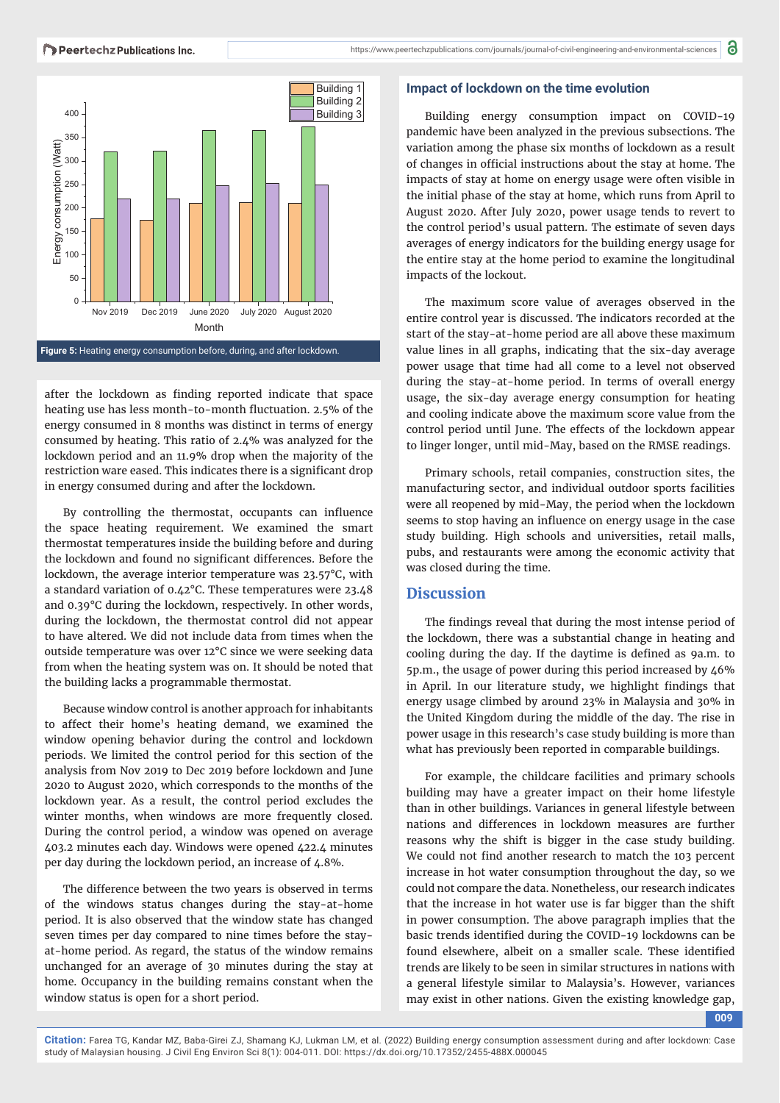

after the lockdown as finding reported indicate that space heating use has less month-to-month fluctuation. 2.5% of the energy consumed in 8 months was distinct in terms of energy consumed by heating. This ratio of 2.4% was analyzed for the lockdown period and an 11.9% drop when the majority of the restriction ware eased. This indicates there is a significant drop in energy consumed during and after the lockdown.

By controlling the thermostat, occupants can influence the space heating requirement. We examined the smart thermostat temperatures inside the building before and during the lockdown and found no significant differences. Before the lockdown, the average interior temperature was 23.57°C, with a standard variation of 0.42°C. These temperatures were 23.48 and 0.39°C during the lockdown, respectively. In other words, during the lockdown, the thermostat control did not appear to have altered. We did not include data from times when the outside temperature was over 12°C since we were seeking data from when the heating system was on. It should be noted that the building lacks a programmable thermostat.

Because window control is another approach for inhabitants to affect their home's heating demand, we examined the window opening behavior during the control and lockdown periods. We limited the control period for this section of the analysis from Nov 2019 to Dec 2019 before lockdown and June 2020 to August 2020, which corresponds to the months of the lockdown year. As a result, the control period excludes the winter months, when windows are more frequently closed. During the control period, a window was opened on average 403.2 minutes each day. Windows were opened 422.4 minutes per day during the lockdown period, an increase of 4.8%.

The difference between the two years is observed in terms of the windows status changes during the stay-at-home period. It is also observed that the window state has changed seven times per day compared to nine times before the stayat-home period. As regard, the status of the window remains unchanged for an average of 30 minutes during the stay at home. Occupancy in the building remains constant when the window status is open for a short period.

#### **Impact of lockdown on the time evolution**

Building energy consumption impact on COVID-19 pandemic have been analyzed in the previous subsections. The variation among the phase six months of lockdown as a result of changes in official instructions about the stay at home. The impacts of stay at home on energy usage were often visible in the initial phase of the stay at home, which runs from April to August 2020. After July 2020, power usage tends to revert to the control period's usual pattern. The estimate of seven days averages of energy indicators for the building energy usage for the entire stay at the home period to examine the longitudinal impacts of the lockout.

The maximum score value of averages observed in the entire control year is discussed. The indicators recorded at the start of the stay-at-home period are all above these maximum value lines in all graphs, indicating that the six-day average power usage that time had all come to a level not observed during the stay-at-home period. In terms of overall energy usage, the six-day average energy consumption for heating and cooling indicate above the maximum score value from the control period until June. The effects of the lockdown appear to linger longer, until mid-May, based on the RMSE readings.

Primary schools, retail companies, construction sites, the manufacturing sector, and individual outdoor sports facilities were all reopened by mid-May, the period when the lockdown seems to stop having an influence on energy usage in the case study building. High schools and universities, retail malls, pubs, and restaurants were among the economic activity that was closed during the time.

### **Discussion**

The findings reveal that during the most intense period of the lockdown, there was a substantial change in heating and cooling during the day. If the daytime is defined as 9a.m. to 5p.m., the usage of power during this period increased by 46% in April. In our literature study, we highlight findings that energy usage climbed by around 23% in Malaysia and 30% in the United Kingdom during the middle of the day. The rise in power usage in this research's case study building is more than what has previously been reported in comparable buildings.

For example, the childcare facilities and primary schools building may have a greater impact on their home lifestyle than in other buildings. Variances in general lifestyle between nations and differences in lockdown measures are further reasons why the shift is bigger in the case study building. We could not find another research to match the 103 percent increase in hot water consumption throughout the day, so we could not compare the data. Nonetheless, our research indicates that the increase in hot water use is far bigger than the shift in power consumption. The above paragraph implies that the basic trends identified during the COVID-19 lockdowns can be found elsewhere, albeit on a smaller scale. These identified trends are likely to be seen in similar structures in nations with a general lifestyle similar to Malaysia's. However, variances may exist in other nations. Given the existing knowledge gap,

**009**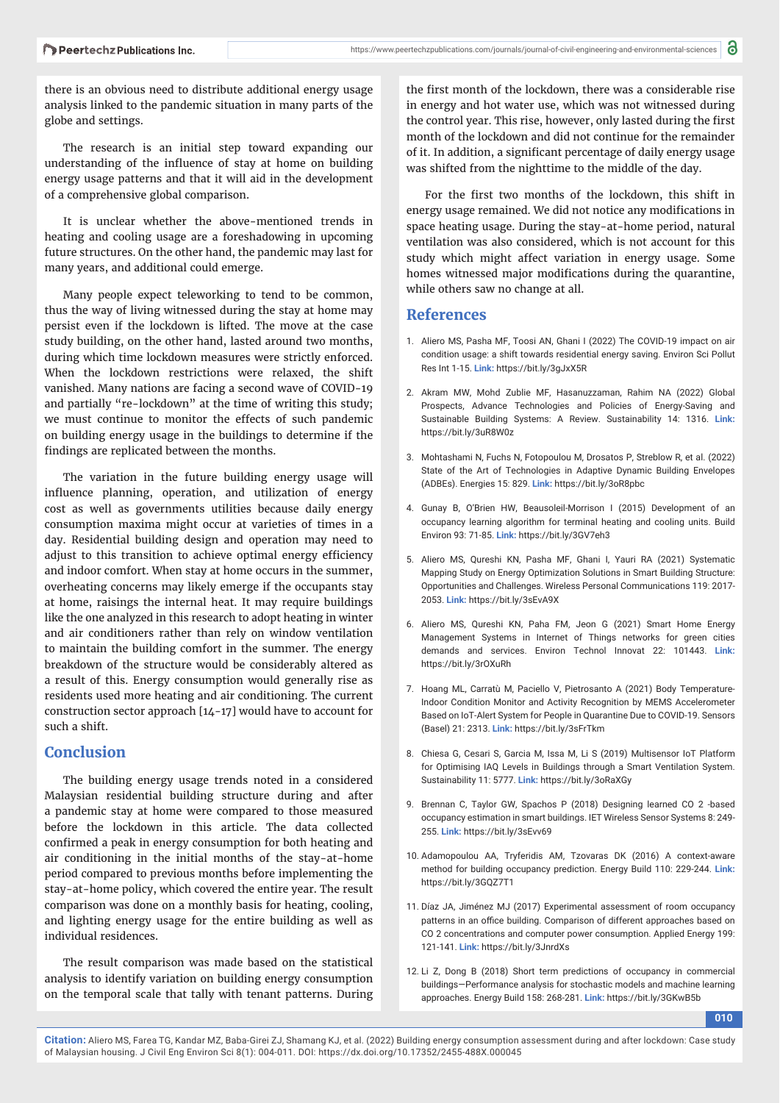there is an obvious need to distribute additional energy usage analysis linked to the pandemic situation in many parts of the globe and settings.

The research is an initial step toward expanding our understanding of the influence of stay at home on building energy usage patterns and that it will aid in the development of a comprehensive global comparison.

It is unclear whether the above-mentioned trends in heating and cooling usage are a foreshadowing in upcoming future structures. On the other hand, the pandemic may last for many years, and additional could emerge.

Many people expect teleworking to tend to be common, thus the way of living witnessed during the stay at home may persist even if the lockdown is lifted. The move at the case study building, on the other hand, lasted around two months, during which time lockdown measures were strictly enforced. When the lockdown restrictions were relaxed, the shift vanished. Many nations are facing a second wave of COVID-19 and partially "re-lockdown" at the time of writing this study; we must continue to monitor the effects of such pandemic on building energy usage in the buildings to determine if the findings are replicated between the months.

The variation in the future building energy usage will influence planning, operation, and utilization of energy cost as well as governments utilities because daily energy consumption maxima might occur at varieties of times in a day. Residential building design and operation may need to adjust to this transition to achieve optimal energy efficiency and indoor comfort. When stay at home occurs in the summer, overheating concerns may likely emerge if the occupants stay at home, raisings the internal heat. It may require buildings like the one analyzed in this research to adopt heating in winter and air conditioners rather than rely on window ventilation to maintain the building comfort in the summer. The energy breakdown of the structure would be considerably altered as a result of this. Energy consumption would generally rise as residents used more heating and air conditioning. The current construction sector approach [14-17] would have to account for such a shift.

## **Conclusion**

The building energy usage trends noted in a considered Malaysian residential building structure during and after a pandemic stay at home were compared to those measured before the lockdown in this article. The data collected confirmed a peak in energy consumption for both heating and air conditioning in the initial months of the stay-at-home period compared to previous months before implementing the stay-at-home policy, which covered the entire year. The result comparison was done on a monthly basis for heating, cooling, and lighting energy usage for the entire building as well as individual residences.

The result comparison was made based on the statistical analysis to identify variation on building energy consumption on the temporal scale that tally with tenant patterns. During

the first month of the lockdown, there was a considerable rise in energy and hot water use, which was not witnessed during the control year. This rise, however, only lasted during the first month of the lockdown and did not continue for the remainder of it. In addition, a significant percentage of daily energy usage was shifted from the nighttime to the middle of the day.

For the first two months of the lockdown, this shift in energy usage remained. We did not notice any modifications in space heating usage. During the stay-at-home period, natural ventilation was also considered, which is not account for this study which might affect variation in energy usage. Some homes witnessed major modifications during the quarantine, while others saw no change at all.

## **References**

- 1. Aliero MS, Pasha MF, Toosi AN, Ghani I (2022) The COVID-19 impact on air condition usage: a shift towards residential energy saving. Environ Sci Pollut Res Int 1-15. **Link:** https://bit.ly/3gJxX5R
- 2. Akram MW, Mohd Zublie MF, Hasanuzzaman, Rahim NA (2022) Global Prospects, Advance Technologies and Policies of Energy-Saving and Sustainable Building Systems: A Review. Sustainability 14: 1316. **Link:** https://bit.ly/3uR8W0z
- 3. Mohtashami N, Fuchs N, Fotopoulou M, Drosatos P, Streblow R, et al. (2022) State of the Art of Technologies in Adaptive Dynamic Building Envelopes (ADBEs). Energies 15: 829. **Link:** https://bit.ly/3oR8pbc
- 4. Gunay B, O'Brien HW, Beausoleil-Morrison I (2015) Development of an occupancy learning algorithm for terminal heating and cooling units. Build Environ 93: 71-85. **Link:** https://bit.ly/3GV7eh3
- 5. Aliero MS, Qureshi KN, Pasha MF, Ghani I, Yauri RA (2021) Systematic Mapping Study on Energy Optimization Solutions in Smart Building Structure: Opportunities and Challenges. Wireless Personal Communications 119: 2017- 2053. **Link:** https://bit.ly/3sEvA9X
- 6. Aliero MS, Qureshi KN, Paha FM, Jeon G (2021) Smart Home Energy Management Systems in Internet of Things networks for green cities demands and services. Environ Technol Innovat 22: 101443. **Link:** https://bit.ly/3rOXuRh
- 7. Hoang ML, Carratù M, Paciello V, Pietrosanto A (2021) Body Temperature-Indoor Condition Monitor and Activity Recognition by MEMS Accelerometer Based on IoT-Alert System for People in Quarantine Due to COVID-19. Sensors (Basel) 21: 2313. **Link:** https://bit.ly/3sFrTkm
- 8. Chiesa G, Cesari S, Garcia M, Issa M, Li S (2019) Multisensor IoT Platform for Optimising IAQ Levels in Buildings through a Smart Ventilation System. Sustainability 11: 5777. **Link:** https://bit.ly/3oRaXGy
- 9. Brennan C, Taylor GW, Spachos P (2018) Designing learned CO 2 ‐based occupancy estimation in smart buildings. IET Wireless Sensor Systems 8: 249- 255. **Link:** https://bit.ly/3sEvv69
- 10. Adamopoulou AA, Tryferidis AM, Tzovaras DK (2016) A context-aware method for building occupancy prediction. Energy Build 110: 229-244. **Link:** https://bit.ly/3GQZ7T1
- 11. Díaz JA, Jiménez MJ (2017) Experimental assessment of room occupancy patterns in an office building. Comparison of different approaches based on CO 2 concentrations and computer power consumption. Applied Energy 199: 121-141. **Link:** https://bit.ly/3JnrdXs
- 12. Li Z, Dong B (2018) Short term predictions of occupancy in commercial buildings—Performance analysis for stochastic models and machine learning approaches. Energy Build 158: 268-281. **Link:** https://bit.ly/3GKwB5b

**010**